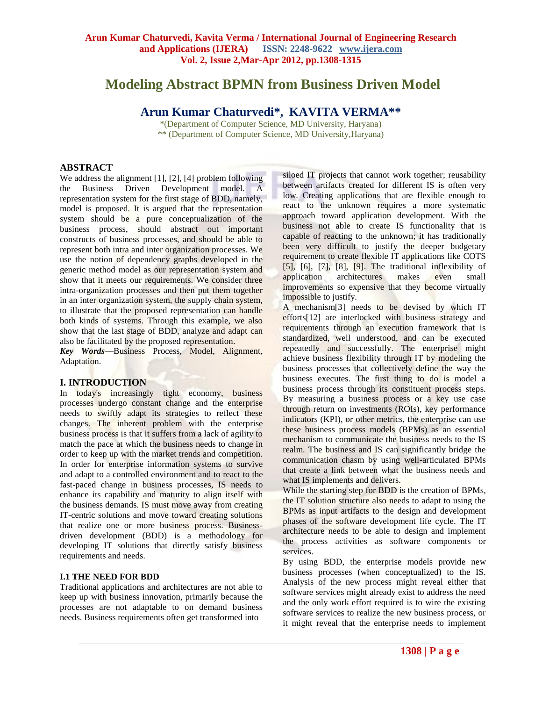# **Modeling Abstract BPMN from Business Driven Model**

**Arun Kumar Chaturvedi\*, KAVITA VERMA\*\***

\*(Department of Computer Science, MD University, Haryana) \*\* (Department of Computer Science, MD University,Haryana)

# **ABSTRACT**

We address the alignment [1], [2], [4] problem following the Business Driven Development model. A representation system for the first stage of BDD, namely, model is proposed. It is argued that the representation system should be a pure conceptualization of the business process, should abstract out important constructs of business processes, and should be able to represent both intra and inter organization processes. We use the notion of dependency graphs developed in the generic method model as our representation system and show that it meets our requirements. We consider three intra-organization processes and then put them together in an inter organization system, the supply chain system, to illustrate that the proposed representation can handle both kinds of systems. Through this example, we also show that the last stage of BDD, analyze and adapt can also be facilitated by the proposed representation.

*Key Words*—Business Process, Model, Alignment, Adaptation.

## **I. INTRODUCTION**

In today's increasingly tight economy, business processes undergo constant change and the enterprise needs to swiftly adapt its strategies to reflect these changes. The inherent problem with the enterprise business process is that it suffers from a lack of agility to match the pace at which the business needs to change in order to keep up with the market trends and competition. In order for enterprise information systems to survive and adapt to a controlled environment and to react to the fast-paced change in business processes, IS needs to enhance its capability and maturity to align itself with the business demands. IS must move away from creating IT-centric solutions and move toward creating solutions that realize one or more business process. Businessdriven development (BDD) is a methodology for developing IT solutions that directly satisfy business requirements and needs.

### **I.1 THE NEED FOR BDD**

Traditional applications and architectures are not able to keep up with business innovation, primarily because the processes are not adaptable to on demand business needs. Business requirements often get transformed into

siloed IT projects that cannot work together; reusability between artifacts created for different IS is often very low. Creating applications that are flexible enough to react to the unknown requires a more systematic approach toward application development. With the business not able to create IS functionality that is capable of reacting to the unknown; it has traditionally been very difficult to justify the deeper budgetary requirement to create flexible IT applications like COTS [5], [6], [7], [8], [9]. The traditional inflexibility of application architectures makes even small improvements so expensive that they become virtually impossible to justify.

A mechanism[3] needs to be devised by which IT efforts[12] are interlocked with business strategy and requirements through an execution framework that is standardized, well understood, and can be executed repeatedly and successfully. The enterprise might achieve business flexibility through IT by modeling the business processes that collectively define the way the business executes. The first thing to do is model a business process through its constituent process steps. By measuring a business process or a key use case through return on investments (ROIs), key performance indicators (KPI), or other metrics, the enterprise can use these business process models (BPMs) as an essential mechanism to communicate the business needs to the IS realm. The business and IS can significantly bridge the communication chasm by using well-articulated BPMs that create a link between what the business needs and what IS implements and delivers.

While the starting step for BDD is the creation of BPMs, the IT solution structure also needs to adapt to using the BPMs as input artifacts to the design and development phases of the software development life cycle. The IT architecture needs to be able to design and implement the process activities as software components or services.

By using BDD, the enterprise models provide new business processes (when conceptualized) to the IS. Analysis of the new process might reveal either that software services might already exist to address the need and the only work effort required is to wire the existing software services to realize the new business process, or it might reveal that the enterprise needs to implement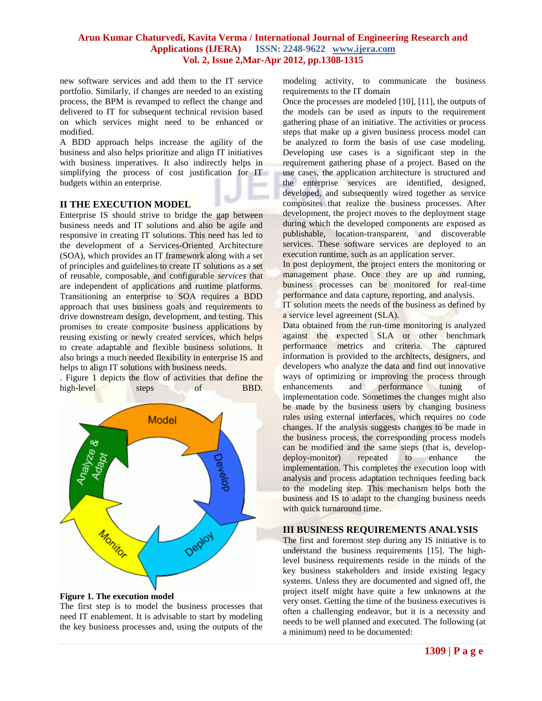new software services and add them to the IT service portfolio. Similarly, if changes are needed to an existing process, the BPM is revamped to reflect the change and delivered to IT for subsequent technical revision based on which services might need to be enhanced or modified.

A BDD approach helps increase the agility of the business and also helps prioritize and align IT initiatives with business imperatives. It also indirectly helps in simplifying the process of cost justification for IT budgets within an enterprise.

# **II THE EXECUTION MODEL**

Enterprise IS should strive to bridge the gap between business needs and IT solutions and also be agile and responsive in creating IT solutions. This need has led to the development of a Services-Oriented Architecture (SOA), which provides an IT framework along with a set of principles and guidelines to create IT solutions as a set of reusable, composable, and configurable *services* that are independent of applications and runtime platforms. Transitioning an enterprise to SOA requires a BDD approach that uses business goals and requirements to drive downstream design, development, and testing. This promises to create composite business applications by reusing existing or newly created services, which helps to create adaptable and flexible business solutions. It also brings a much needed flexibility in enterprise IS and helps to align IT solutions with business needs.

. Figure 1 depicts the flow of activities that define the high-level steps of BBD.





modeling activity, to communicate the business requirements to the IT domain

Once the processes are modeled [10], [11], the outputs of the models can be used as inputs to the requirement gathering phase of an initiative. The activities or process steps that make up a given business process model can be analyzed to form the basis of use case modeling. Developing use cases is a significant step in the requirement gathering phase of a project. Based on the use cases, the application architecture is structured and the enterprise services are identified, designed, developed, and subsequently wired together as service composites that realize the business processes. After development, the project moves to the deployment stage during which the developed components are exposed as publishable, location-transparent, and discoverable services. These software services are deployed to an execution runtime, such as an application server.

In post deployment, the project enters the monitoring or management phase. Once they are up and running, business processes can be monitored for real-time performance and data capture, reporting, and analysis.

IT solution meets the needs of the business as defined by a service level agreement (SLA).

Data obtained from the run-time monitoring is analyzed against the expected SLA or other benchmark performance metrics and criteria. The captured information is provided to the architects, designers, and developers who analyze the data and find out innovative ways of optimizing or improving the process through enhancements and performance tuning of implementation code. Sometimes the changes might also be made by the business users by changing business rules using external interfaces, which requires no code changes. If the analysis suggests changes to be made in the business process, the corresponding process models can be modified and the same steps (that is, developdeploy-monitor) repeated to enhance the implementation. This completes the execution loop with analysis and process adaptation techniques feeding back to the modeling step. This mechanism helps both the business and IS to adapt to the changing business needs with quick turnaround time.

#### **III BUSINESS REQUIREMENTS ANALYSIS**

The first and foremost step during any IS initiative is to understand the business requirements [15]. The highlevel business requirements reside in the minds of the key business stakeholders and inside existing legacy systems. Unless they are documented and signed off, the project itself might have quite a few unknowns at the very onset. Getting the time of the business executives is often a challenging endeavor, but it is a necessity and needs to be well planned and executed. The following (at a minimum) need to be documented: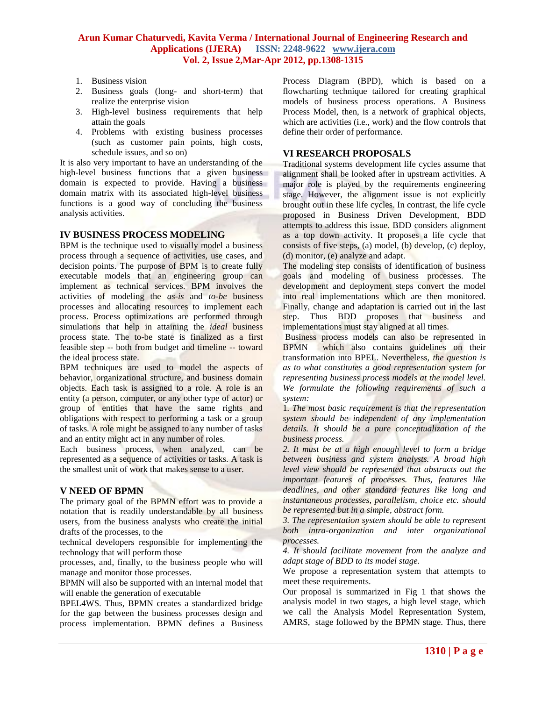- 1. Business vision
- 2. Business goals (long- and short-term) that realize the enterprise vision
- 3. High-level business requirements that help attain the goals
- 4. Problems with existing business processes (such as customer pain points, high costs, schedule issues, and so on)

It is also very important to have an understanding of the high-level business functions that a given business domain is expected to provide. Having a business domain matrix with its associated high-level business functions is a good way of concluding the business analysis activities.

# **IV BUSINESS PROCESS MODELING**

BPM is the technique used to visually model a business process through a sequence of activities, use cases, and decision points. The purpose of BPM is to create fully executable models that an engineering group can implement as technical services. BPM involves the activities of modeling the *as-is* and *to-be* business processes and allocating resources to implement each process. Process optimizations are performed through simulations that help in attaining the *ideal* business process state. The to-be state is finalized as a first feasible step -- both from budget and timeline -- toward the ideal process state.

BPM techniques are used to model the aspects of behavior, organizational structure, and business domain objects. Each task is assigned to a role. A role is an entity (a person, computer, or any other type of actor) or group of entities that have the same rights and obligations with respect to performing a task or a group of tasks. A role might be assigned to any number of tasks and an entity might act in any number of roles.

Each business process, when analyzed, can be represented as a sequence of activities or tasks. A task is the smallest unit of work that makes sense to a user.

#### **V NEED OF BPMN**

The primary goal of the BPMN effort was to provide a notation that is readily understandable by all business users, from the business analysts who create the initial drafts of the processes, to the

technical developers responsible for implementing the technology that will perform those

processes, and, finally, to the business people who will manage and monitor those processes.

BPMN will also be supported with an internal model that will enable the generation of executable

BPEL4WS. Thus, BPMN creates a standardized bridge for the gap between the business processes design and process implementation. BPMN defines a Business Process Diagram (BPD), which is based on a flowcharting technique tailored for creating graphical models of business process operations. A Business Process Model, then, is a network of graphical objects, which are activities (i.e., work) and the flow controls that define their order of performance.

# **VI RESEARCH PROPOSALS**

Traditional systems development life cycles assume that alignment shall be looked after in upstream activities. A major role is played by the requirements engineering stage. However, the alignment issue is not explicitly brought out in these life cycles. In contrast, the life cycle proposed in Business Driven Development, BDD attempts to address this issue. BDD considers alignment as a top down activity. It proposes a life cycle that consists of five steps, (a) model, (b) develop, (c) deploy, (d) monitor, (e) analyze and adapt.

The modeling step consists of identification of business goals and modeling of business processes. The development and deployment steps convert the model into real implementations which are then monitored. Finally, change and adaptation is carried out in the last step. Thus BDD proposes that business and implementations must stay aligned at all times.

Business process models can also be represented in BPMN which also contains guidelines on their transformation into BPEL. Nevertheless, *the question is as to what constitutes a good representation system for representing business process models at the model level. We formulate the following requirements of such a system:*

1*. The most basic requirement is that the representation system should be independent of any implementation details. It should be a pure conceptualization of the business process.*

*2. It must be at a high enough level to form a bridge between business and system analysts. A broad high level view should be represented that abstracts out the important features of processes. Thus, features like deadlines, and other standard features like long and instantaneous processes, parallelism, choice etc. should be represented but in a simple, abstract form.*

*3. The representation system should be able to represent both intra-organization and inter organizational processes.*

*4. It should facilitate movement from the analyze and adapt stage of BDD to its model stage.*

We propose a representation system that attempts to meet these requirements.

Our proposal is summarized in Fig 1 that shows the analysis model in two stages, a high level stage, which we call the Analysis Model Representation System, AMRS, stage followed by the BPMN stage. Thus, there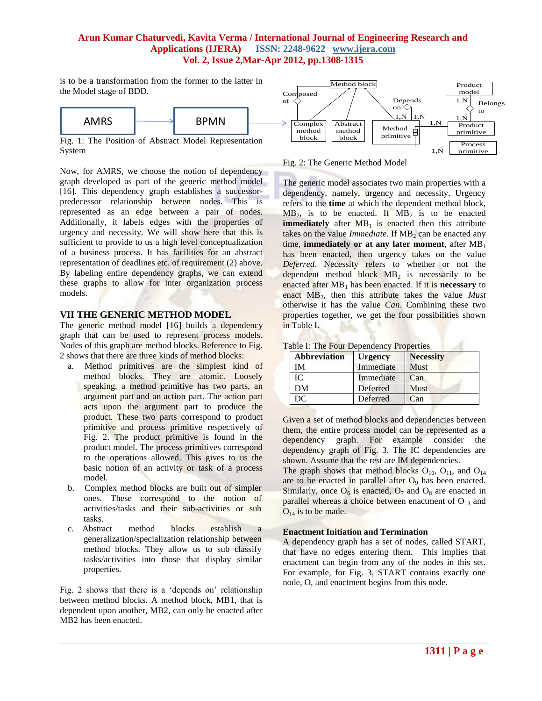is to be a transformation from the former to the latter in the Model stage of BDD.



Fig. 1: The Position of Abstract Model Representation System

Now, for AMRS, we choose the notion of dependency graph developed as part of the generic method model [16]. This dependency graph establishes a successorpredecessor relationship between nodes. This is represented as an edge between a pair of nodes. Additionally, it labels edges with the properties of urgency and necessity. We will show here that this is sufficient to provide to us a high level conceptualization of a business process. It has facilities for an abstract representation of deadlines etc. of requirement (2) above. By labeling entire dependency graphs, we can extend these graphs to allow for inter organization process models.

# **VII THE GENERIC METHOD MODEL**

The generic method model [16] builds a dependency graph that can be used to represent process models. Nodes of this graph are method blocks. Reference to Fig. 2 shows that there are three kinds of method blocks:

- a. Method primitives are the simplest kind of method blocks. They are atomic. Loosely speaking, a method primitive has two parts, an argument part and an action part. The action part acts upon the argument part to produce the product. These two parts correspond to product primitive and process primitive respectively of Fig. 2. The product primitive is found in the product model. The process primitives correspond to the operations allowed. This gives to us the basic notion of an activity or task of a process model.
- b. Complex method blocks are built out of simpler ones. These correspond to the notion of activities/tasks and their sub-activities or sub tasks.
- c. Abstract method blocks establish a generalization/specialization relationship between method blocks. They allow us to sub classify tasks/activities into those that display similar properties.

Fig. 2 shows that there is a 'depends on' relationship between method blocks. A method block, MB1, that is dependent upon another, MB2, can only be enacted after MB2 has been enacted.



Fig. 2: The Generic Method Model

The generic model associates two main properties with a dependency, namely, urgency and necessity. Urgency refers to the **time** at which the dependent method block,  $MB_2$ , is to be enacted. If  $MB_2$  is to be enacted **immediately** after MB<sub>1</sub> is enacted then this attribute takes on the value *Immediate*. If MB<sub>2</sub> can be enacted any time, **immediately or at any later moment**, after MB<sub>1</sub> has been enacted, then urgency takes on the value *Deferred*. Necessity refers to whether or not the dependent method block  $MB<sub>2</sub>$  is necessarily to be enacted after MB<sup>1</sup> has been enacted. If it is **necessary** to enact  $MB_2$ , then this attribute takes the value *Must* otherwise it has the value *Can*. Combining these two properties together, we get the four possibilities shown in Table I.

Table I: The Four Dependency Properties

| <b>Abbreviation</b> | Urgency   | <b>Necessity</b> |
|---------------------|-----------|------------------|
| IМ                  | Immediate | Must             |
| IС                  | Immediate | Can              |
| DМ                  | Deferred  | <b>Must</b>      |
| DС                  | Deferred  | Can              |

Given a set of method blocks and dependencies between them, the entire process model can be represented as a dependency graph. For example consider the dependency graph of Fig. 3. The IC dependencies are shown. Assume that the rest are IM dependencies.

The graph shows that method blocks  $O_{10}$ ,  $O_{11}$ , and  $O_{14}$ are to be enacted in parallel after  $O_9$  has been enacted. Similarly, once  $O_6$  is enacted,  $O_7$  and  $O_8$  are enacted in parallel whereas a choice between enactment of  $O_{13}$  and  $O_{14}$  is to be made.

### **Enactment Initiation and Termination**

A dependency graph has a set of nodes, called START, that have no edges entering them. This implies that enactment can begin from any of the nodes in this set. For example, for Fig. 3, START contains exactly one node, O, and enactment begins from this node.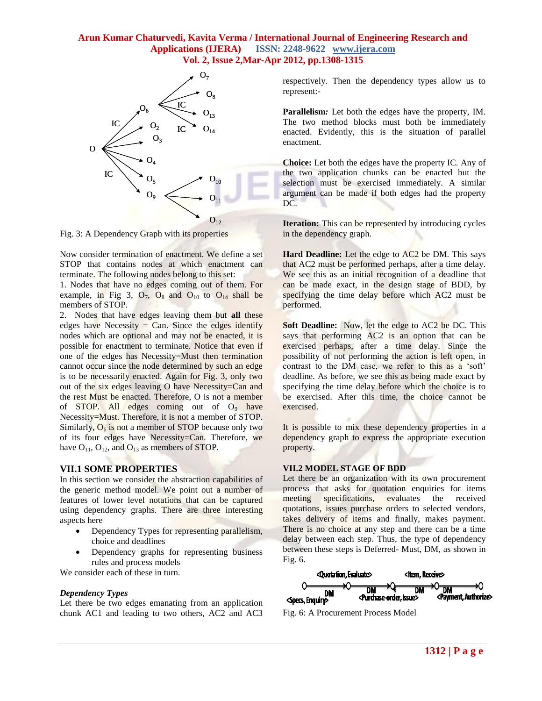

Fig. 3: A Dependency Graph with its properties

Now consider termination of enactment. We define a set STOP that contains nodes at which enactment can terminate. The following nodes belong to this set:

1. Nodes that have no edges coming out of them. For example, in Fig 3,  $O_7$ ,  $O_8$  and  $O_{10}$  to  $O_{14}$  shall be members of STOP.

2. Nodes that have edges leaving them but **all** these edges have Necessity  $=$  Can. Since the edges identify nodes which are optional and may not be enacted, it is possible for enactment to terminate. Notice that even if one of the edges has Necessity=Must then termination cannot occur since the node determined by such an edge is to be necessarily enacted. Again for Fig. 3, only two out of the six edges leaving O have Necessity=Can and the rest Must be enacted. Therefore, O is not a member of STOP. All edges coming out of  $O_9$  have Necessity=Must. Therefore, it is not a member of STOP. Similarly,  $O_6$  is not a member of STOP because only two of its four edges have Necessity=Can. Therefore, we have  $O_{11}$ ,  $O_{12}$ , and  $O_{13}$  as members of STOP.

### **VII.1 SOME PROPERTIES**

In this section we consider the abstraction capabilities of the generic method model. We point out a number of features of lower level notations that can be captured using dependency graphs. There are three interesting aspects here

- Dependency Types for representing parallelism, choice and deadlines
- Dependency graphs for representing business rules and process models

We consider each of these in turn.

#### *Dependency Types*

Let there be two edges emanating from an application chunk AC1 and leading to two others, AC2 and AC3

respectively. Then the dependency types allow us to represent:-

**Parallelism***:* Let both the edges have the property, IM. The two method blocks must both be immediately IC  $\bullet$  O<sub>14</sub> enacted. Evidently, this is the situation of parallel enactment.

> **Choice:** Let both the edges have the property IC. Any of the two application chunks can be enacted but the selection must be exercised immediately. A similar argument can be made if both edges had the property DC.

> **Iteration:** This can be represented by introducing cycles in the dependency graph.

> **Hard Deadline:** Let the edge to AC2 be DM. This says that AC2 must be performed perhaps, after a time delay. We see this as an initial recognition of a deadline that can be made exact, in the design stage of BDD, by specifying the time delay before which AC2 must be performed.

> **Soft Deadline:** Now, let the edge to AC2 be DC. This says that performing AC2 is an option that can be exercised perhaps, after a time delay. Since the possibility of not performing the action is left open, in contrast to the DM case, we refer to this as a 'soft' deadline. As before, we see this as being made exact by specifying the time delay before which the choice is to be exercised. After this time, the choice cannot be exercised.

> It is possible to mix these dependency properties in a dependency graph to express the appropriate execution property.

#### **VII.2 MODEL STAGE OF BDD**

Let there be an organization with its own procurement process that asks for quotation enquiries for items meeting specifications, evaluates the received quotations, issues purchase orders to selected vendors, takes delivery of items and finally, makes payment. There is no choice at any step and there can be a time delay between each step. Thus, the type of dependency between these steps is Deferred- Must, DM, as shown in Fig. 6.



Fig. 6: A Procurement Process Model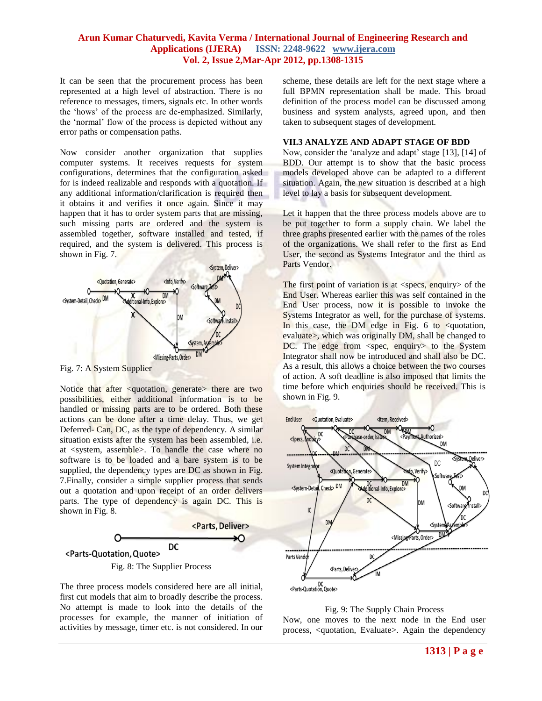It can be seen that the procurement process has been represented at a high level of abstraction. There is no reference to messages, timers, signals etc. In other words the 'hows' of the process are de-emphasized. Similarly, the 'normal' flow of the process is depicted without any error paths or compensation paths.

Now consider another organization that supplies computer systems. It receives requests for system configurations, determines that the configuration asked for is indeed realizable and responds with a quotation. If any additional information/clarification is required then it obtains it and verifies it once again. Since it may happen that it has to order system parts that are missing, such missing parts are ordered and the system is assembled together, software installed and tested, if required, and the system is delivered. This process is shown in Fig. 7.



Fig. 7: A System Supplier

Notice that after <quotation, generate> there are two possibilities, either additional information is to be handled or missing parts are to be ordered. Both these actions can be done after a time delay. Thus, we get Deferred- Can, DC, as the type of dependency. A similar situation exists after the system has been assembled, i.e. at <system, assemble>. To handle the case where no software is to be loaded and a bare system is to be supplied, the dependency types are DC as shown in Fig. 7.Finally, consider a simple supplier process that sends out a quotation and upon receipt of an order delivers parts. The type of dependency is again DC. This is shown in Fig. 8.



The three process models considered here are all initial, first cut models that aim to broadly describe the process. No attempt is made to look into the details of the processes for example, the manner of initiation of activities by message, timer etc. is not considered. In our

scheme, these details are left for the next stage where a full BPMN representation shall be made. This broad definition of the process model can be discussed among business and system analysts, agreed upon, and then taken to subsequent stages of development.

#### **VII.3 ANALYZE AND ADAPT STAGE OF BDD**

Now, consider the 'analyze and adapt' stage [13], [14] of BDD. Our attempt is to show that the basic process models developed above can be adapted to a different situation. Again, the new situation is described at a high level to lay a basis for subsequent development.

Let it happen that the three process models above are to be put together to form a supply chain. We label the three graphs presented earlier with the names of the roles of the organizations. We shall refer to the first as End User, the second as Systems Integrator and the third as Parts Vendor.

The first point of variation is at  $\langle$ specs, enquiry $\rangle$  of the End User. Whereas earlier this was self contained in the End User process, now it is possible to invoke the Systems Integrator as well, for the purchase of systems. In this case, the DM edge in Fig.  $6$  to <quotation, evaluate>, which was originally DM, shall be changed to DC. The edge from <spec, enquiry> to the System Integrator shall now be introduced and shall also be DC. As a result, this allows a choice between the two courses of action. A soft deadline is also imposed that limits the time before which enquiries should be received. This is shown in Fig. 9.





Now, one moves to the next node in the End user process, <quotation, Evaluate>. Again the dependency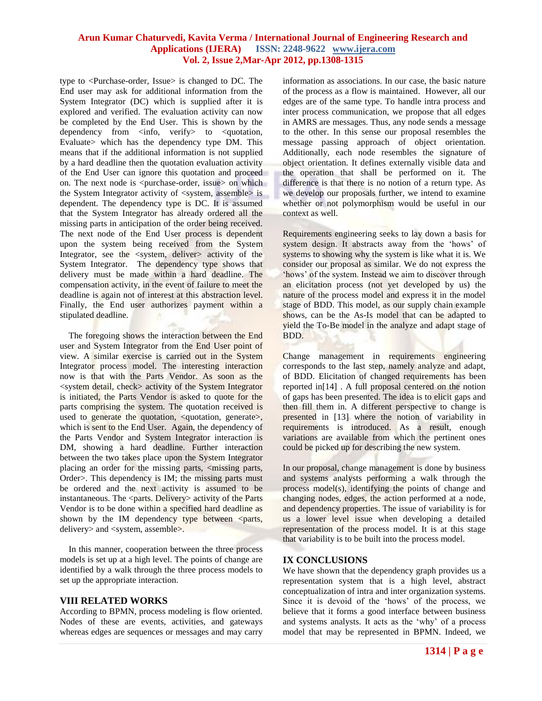type to <Purchase-order, Issue> is changed to DC. The End user may ask for additional information from the System Integrator (DC) which is supplied after it is explored and verified. The evaluation activity can now be completed by the End User. This is shown by the dependency from <info, verify to <quotation, Evaluate> which has the dependency type DM. This means that if the additional information is not supplied by a hard deadline then the quotation evaluation activity of the End User can ignore this quotation and proceed on. The next node is <purchase-order, issue> on which the System Integrator activity of <system, assemble> is dependent. The dependency type is DC. It is assumed that the System Integrator has already ordered all the missing parts in anticipation of the order being received. The next node of the End User process is dependent upon the system being received from the System Integrator, see the <system, deliver> activity of the System Integrator. The dependency type shows that delivery must be made within a hard deadline. The compensation activity, in the event of failure to meet the deadline is again not of interest at this abstraction level. Finally, the End user authorizes payment within a stipulated deadline.

The foregoing shows the interaction between the End user and System Integrator from the End User point of view. A similar exercise is carried out in the System Integrator process model. The interesting interaction now is that with the Parts Vendor. As soon as the <system detail, check> activity of the System Integrator is initiated, the Parts Vendor is asked to quote for the parts comprising the system. The quotation received is used to generate the quotation, <quotation, generate>, which is sent to the End User. Again, the dependency of the Parts Vendor and System Integrator interaction is DM, showing a hard deadline. Further interaction between the two takes place upon the System Integrator placing an order for the missing parts, <missing parts, Order>. This dependency is IM; the missing parts must be ordered and the next activity is assumed to be instantaneous. The <parts. Delivery> activity of the Parts Vendor is to be done within a specified hard deadline as shown by the IM dependency type between  $\leq$  parts, delivery> and <system, assemble>.

In this manner, cooperation between the three process models is set up at a high level. The points of change are identified by a walk through the three process models to set up the appropriate interaction.

### **VIII RELATED WORKS**

According to BPMN, process modeling is flow oriented. Nodes of these are events, activities, and gateways whereas edges are sequences or messages and may carry

information as associations. In our case, the basic nature of the process as a flow is maintained. However, all our edges are of the same type. To handle intra process and inter process communication, we propose that all edges in AMRS are messages. Thus, any node sends a message to the other. In this sense our proposal resembles the message passing approach of object orientation. Additionally, each node resembles the signature of object orientation. It defines externally visible data and the operation that shall be performed on it. The difference is that there is no notion of a return type. As we develop our proposals further, we intend to examine whether or not polymorphism would be useful in our context as well.

Requirements engineering seeks to lay down a basis for system design. It abstracts away from the 'hows' of systems to showing why the system is like what it is. We consider our proposal as similar. We do not express the 'hows' of the system. Instead we aim to discover through an elicitation process (not yet developed by us) the nature of the process model and express it in the model stage of BDD. This model, as our supply chain example shows, can be the As-Is model that can be adapted to yield the To-Be model in the analyze and adapt stage of BDD.

Change management in requirements engineering corresponds to the last step, namely analyze and adapt, of BDD. Elicitation of changed requirements has been reported in[14] . A full proposal centered on the notion of gaps has been presented. The idea is to elicit gaps and then fill them in. A different perspective to change is presented in [13] where the notion of variability in requirements is introduced. As a result, enough variations are available from which the pertinent ones could be picked up for describing the new system.

In our proposal, change management is done by business and systems analysts performing a walk through the process model(s), identifying the points of change and changing nodes, edges, the action performed at a node, and dependency properties. The issue of variability is for us a lower level issue when developing a detailed representation of the process model. It is at this stage that variability is to be built into the process model.

# **IX CONCLUSIONS**

We have shown that the dependency graph provides us a representation system that is a high level, abstract conceptualization of intra and inter organization systems. Since it is devoid of the 'hows' of the process, we believe that it forms a good interface between business and systems analysts. It acts as the 'why' of a process model that may be represented in BPMN. Indeed, we